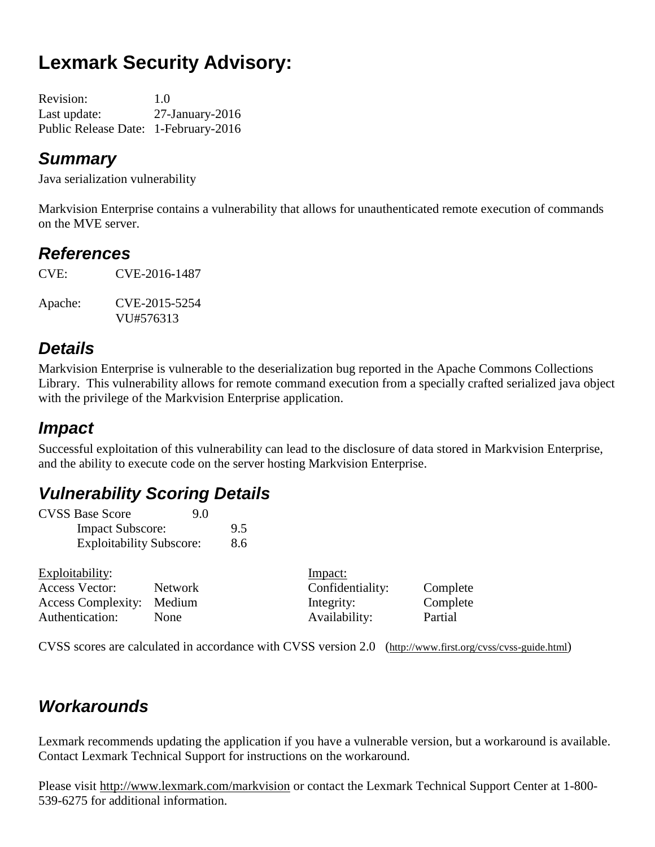# **Lexmark Security Advisory:**

| <b>Revision:</b>                     | 1.0                   |
|--------------------------------------|-----------------------|
| Last update:                         | $27$ -January- $2016$ |
| Public Release Date: 1-February-2016 |                       |

### *Summary*

Java serialization vulnerability

Markvision Enterprise contains a vulnerability that allows for unauthenticated remote execution of commands on the MVE server.

### *References*

CVE: CVE-2016**-**1487

Apache: CVE-2015-5254 VU#576313

# *Details*

Markvision Enterprise is vulnerable to the deserialization bug reported in the Apache Commons Collections Library. This vulnerability allows for remote command execution from a specially crafted serialized java object with the privilege of the Markvision Enterprise application.

# *Impact*

Successful exploitation of this vulnerability can lead to the disclosure of data stored in Markvision Enterprise, and the ability to execute code on the server hosting Markvision Enterprise.

# *Vulnerability Scoring Details*

| <b>CVSS Base Score</b>          | 9.0 |     |
|---------------------------------|-----|-----|
| <b>Impact Subscore:</b>         |     | 9.5 |
| <b>Exploitability Subscore:</b> |     | 8.6 |

| Exploitability:           |             | Impact:          |          |
|---------------------------|-------------|------------------|----------|
| <b>Access Vector:</b>     | Network     | Confidentiality: | Complete |
| Access Complexity: Medium |             | Integrity:       | Complete |
| Authentication:           | <b>None</b> | Availability:    | Partial  |

CVSS scores are calculated in accordance with CVSS version 2.0 (http://www.first.org/cvss/cvss-guide.html)

# *Workarounds*

Lexmark recommends updating the application if you have a vulnerable version, but a workaround is available. Contact Lexmark Technical Support for instructions on the workaround.

Please visit <http://www.lexmark.com/markvision> or contact the Lexmark Technical Support Center at 1-800- 539-6275 for additional information.